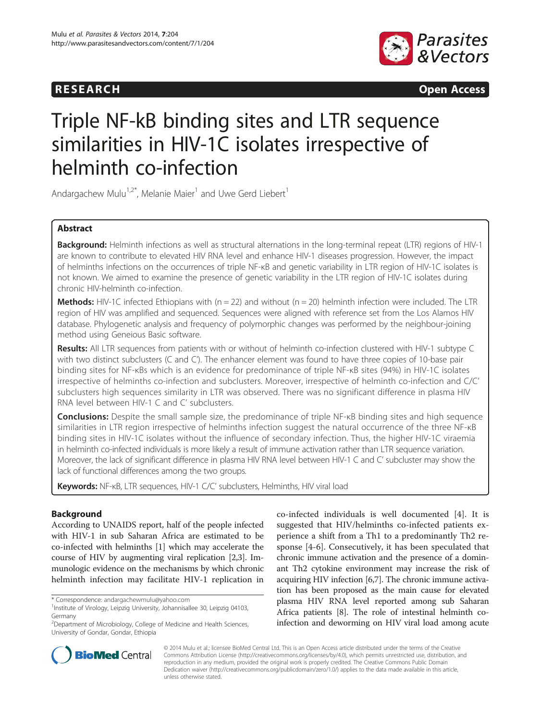



# Triple NF-kB binding sites and LTR sequence similarities in HIV-1C isolates irrespective of helminth co-infection

Andargachew Mulu<sup>1,2\*</sup>, Melanie Maier<sup>1</sup> and Uwe Gerd Liebert<sup>1</sup>

# Abstract

Background: Helminth infections as well as structural alternations in the long-terminal repeat (LTR) regions of HIV-1 are known to contribute to elevated HIV RNA level and enhance HIV-1 diseases progression. However, the impact of helminths infections on the occurrences of triple NF-κB and genetic variability in LTR region of HIV-1C isolates is not known. We aimed to examine the presence of genetic variability in the LTR region of HIV-1C isolates during chronic HIV-helminth co-infection.

**Methods:** HIV-1C infected Ethiopians with  $(n = 22)$  and without  $(n = 20)$  helminth infection were included. The LTR region of HIV was amplified and sequenced. Sequences were aligned with reference set from the Los Alamos HIV database. Phylogenetic analysis and frequency of polymorphic changes was performed by the neighbour-joining method using Geneious Basic software.

Results: All LTR sequences from patients with or without of helminth co-infection clustered with HIV-1 subtype C with two distinct subclusters (C and C'). The enhancer element was found to have three copies of 10-base pair binding sites for NF-κBs which is an evidence for predominance of triple NF-κB sites (94%) in HIV-1C isolates irrespective of helminths co-infection and subclusters. Moreover, irrespective of helminth co-infection and C/C' subclusters high sequences similarity in LTR was observed. There was no significant difference in plasma HIV RNA level between HIV-1 C and C' subclusters.

**Conclusions:** Despite the small sample size, the predominance of triple NF-<sub>KB</sub> binding sites and high sequence similarities in LTR region irrespective of helminths infection suggest the natural occurrence of the three NF-κB binding sites in HIV-1C isolates without the influence of secondary infection. Thus, the higher HIV-1C viraemia in helminth co-infected individuals is more likely a result of immune activation rather than LTR sequence variation. Moreover, the lack of significant difference in plasma HIV RNA level between HIV-1 C and C' subcluster may show the lack of functional differences among the two groups.

Keywords: NF-KB, LTR sequences, HIV-1 C/C' subclusters, Helminths, HIV viral load

# Background

According to UNAIDS report, half of the people infected with HIV-1 in sub Saharan Africa are estimated to be co-infected with helminths [\[1](#page-5-0)] which may accelerate the course of HIV by augmenting viral replication [\[2,3\]](#page-5-0). Immunologic evidence on the mechanisms by which chronic helminth infection may facilitate HIV-1 replication in

co-infected individuals is well documented [\[4](#page-5-0)]. It is suggested that HIV/helminths co-infected patients experience a shift from a Th1 to a predominantly Th2 response [[4-6](#page-5-0)]. Consecutively, it has been speculated that chronic immune activation and the presence of a dominant Th2 cytokine environment may increase the risk of acquiring HIV infection [\[6,7](#page-5-0)]. The chronic immune activation has been proposed as the main cause for elevated plasma HIV RNA level reported among sub Saharan Africa patients [[8](#page-5-0)]. The role of intestinal helminth coinfection and deworming on HIV viral load among acute



© 2014 Mulu et al.; licensee BioMed Central Ltd. This is an Open Access article distributed under the terms of the Creative Commons Attribution License [\(http://creativecommons.org/licenses/by/4.0\)](http://creativecommons.org/licenses/by/4.0), which permits unrestricted use, distribution, and reproduction in any medium, provided the original work is properly credited. The Creative Commons Public Domain Dedication waiver [\(http://creativecommons.org/publicdomain/zero/1.0/](http://creativecommons.org/publicdomain/zero/1.0/)) applies to the data made available in this article, unless otherwise stated.

<sup>\*</sup> Correspondence: [andargachewmulu@yahoo.com](mailto:andargachewmulu@yahoo.com) <sup>1</sup>

<sup>&</sup>lt;sup>1</sup>Institute of Virology, Leipzig University, Johannisallee 30, Leipzig 04103, Germany

<sup>&</sup>lt;sup>2</sup>Department of Microbiology, College of Medicine and Health Sciences, University of Gondar, Gondar, Ethiopia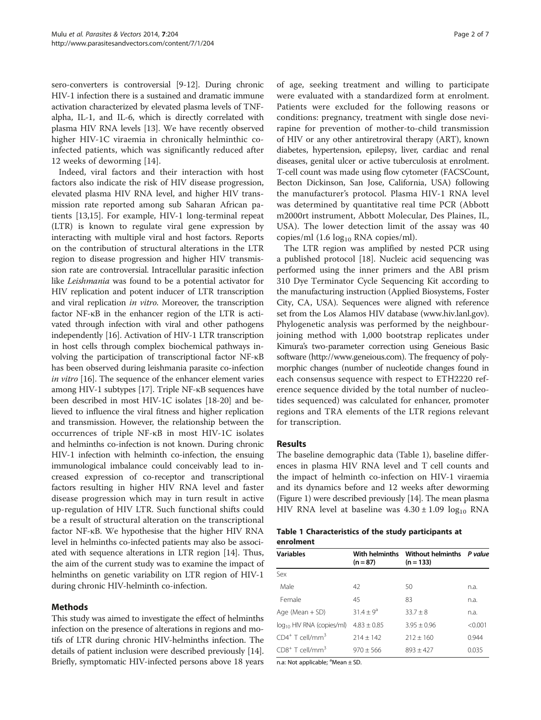<span id="page-1-0"></span>sero-converters is controversial [\[9-12](#page-5-0)]. During chronic HIV-1 infection there is a sustained and dramatic immune activation characterized by elevated plasma levels of TNFalpha, IL-1, and IL-6, which is directly correlated with plasma HIV RNA levels [\[13](#page-5-0)]. We have recently observed higher HIV-1C viraemia in chronically helminthic coinfected patients, which was significantly reduced after 12 weeks of deworming [[14\]](#page-5-0).

Indeed, viral factors and their interaction with host factors also indicate the risk of HIV disease progression, elevated plasma HIV RNA level, and higher HIV transmission rate reported among sub Saharan African patients [[13,15](#page-5-0)]. For example, HIV-1 long-terminal repeat (LTR) is known to regulate viral gene expression by interacting with multiple viral and host factors. Reports on the contribution of structural alterations in the LTR region to disease progression and higher HIV transmission rate are controversial. Intracellular parasitic infection like Leishmania was found to be a potential activator for HIV replication and potent inducer of LTR transcription and viral replication in vitro. Moreover, the transcription factor NF-κB in the enhancer region of the LTR is activated through infection with viral and other pathogens independently [\[16\]](#page-5-0). Activation of HIV-1 LTR transcription in host cells through complex biochemical pathways involving the participation of transcriptional factor NF-κB has been observed during leishmania parasite co-infection in vitro [[16](#page-5-0)]. The sequence of the enhancer element varies among HIV-1 subtypes [\[17\]](#page-5-0). Triple NF-κB sequences have been described in most HIV-1C isolates [\[18-20\]](#page-5-0) and believed to influence the viral fitness and higher replication and transmission. However, the relationship between the occurrences of triple NF-κB in most HIV-1C isolates and helminths co-infection is not known. During chronic HIV-1 infection with helminth co-infection, the ensuing immunological imbalance could conceivably lead to increased expression of co-receptor and transcriptional factors resulting in higher HIV RNA level and faster disease progression which may in turn result in active up-regulation of HIV LTR. Such functional shifts could be a result of structural alteration on the transcriptional factor NF-κB. We hypothesise that the higher HIV RNA level in helminths co-infected patients may also be associated with sequence alterations in LTR region [\[14\]](#page-5-0). Thus, the aim of the current study was to examine the impact of helminths on genetic variability on LTR region of HIV-1 during chronic HIV-helminth co-infection.

# Methods

This study was aimed to investigate the effect of helminths infection on the presence of alterations in regions and motifs of LTR during chronic HIV-helminths infection. The details of patient inclusion were described previously [[14](#page-5-0)]. Briefly, symptomatic HIV-infected persons above 18 years of age, seeking treatment and willing to participate were evaluated with a standardized form at enrolment. Patients were excluded for the following reasons or conditions: pregnancy, treatment with single dose nevirapine for prevention of mother-to-child transmission of HIV or any other antiretroviral therapy (ART), known diabetes, hypertension, epilepsy, liver, cardiac and renal diseases, genital ulcer or active tuberculosis at enrolment. T-cell count was made using flow cytometer (FACSCount, Becton Dickinson, San Jose, California, USA) following the manufacturer's protocol. Plasma HIV-1 RNA level was determined by quantitative real time PCR (Abbott m2000rt instrument, Abbott Molecular, Des Plaines, IL, USA). The lower detection limit of the assay was 40 copies/ml  $(1.6 \log_{10}$  RNA copies/ml).

The LTR region was amplified by nested PCR using a published protocol [\[18](#page-5-0)]. Nucleic acid sequencing was performed using the inner primers and the ABI prism 310 Dye Terminator Cycle Sequencing Kit according to the manufacturing instruction (Applied Biosystems, Foster City, CA, USA). Sequences were aligned with reference set from the Los Alamos HIV database [\(www.hiv.lanl.gov](http://www.hiv.lanl.gov)). Phylogenetic analysis was performed by the neighbourjoining method with 1,000 bootstrap replicates under Kimura's two-parameter correction using Geneious Basic software (<http://www.geneious.com>). The frequency of polymorphic changes (number of nucleotide changes found in each consensus sequence with respect to ETH2220 reference sequence divided by the total number of nucleotides sequenced) was calculated for enhancer, promoter regions and TRA elements of the LTR regions relevant for transcription.

## Results

The baseline demographic data (Table 1), baseline differences in plasma HIV RNA level and T cell counts and the impact of helminth co-infection on HIV-1 viraemia and its dynamics before and 12 weeks after deworming (Figure [1\)](#page-2-0) were described previously [\[14\]](#page-5-0). The mean plasma HIV RNA level at baseline was  $4.30 \pm 1.09$  log<sub>10</sub> RNA

## Table 1 Characteristics of the study participants at enrolment

| <b>Variables</b>               | With helminths<br>$(n = 87)$ | Without helminths P value<br>$(n = 133)$ |         |  |
|--------------------------------|------------------------------|------------------------------------------|---------|--|
| Sex                            |                              |                                          |         |  |
| Male                           | 42                           | 50                                       | n.a.    |  |
| Female                         | 45                           | 83                                       | n.a.    |  |
| Age (Mean + SD)                | $31.4 + 9^a$                 | $33.7 + 8$                               | n.a.    |  |
| $log_{10}$ HIV RNA (copies/ml) | $4.83 \pm 0.85$              | $3.95 + 0.96$                            | < 0.001 |  |
| $CD4^+$ T cell/mm <sup>3</sup> | $214 \pm 142$                | $212 + 160$                              | 0.944   |  |
| $CD8+$ T cell/mm <sup>3</sup>  | $970 + 566$                  | $893 + 427$                              | 0.035   |  |

n.a: Not applicable;  $^a$ Mean  $\pm$  SD.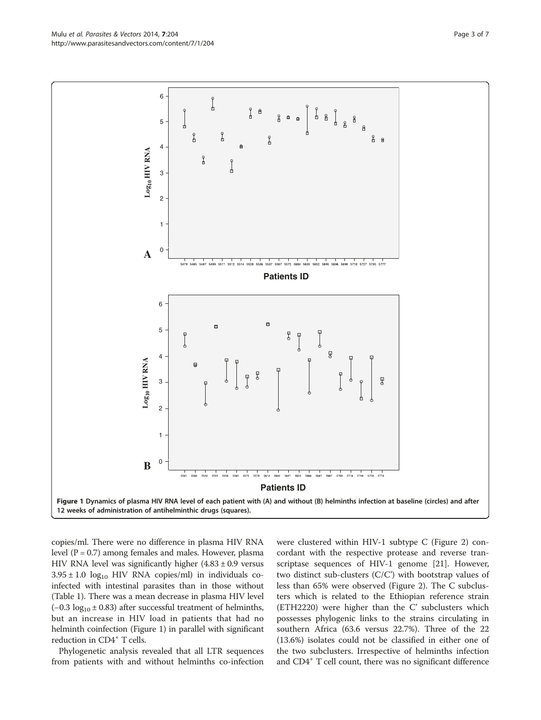copies/ml. There were no difference in plasma HIV RNA level ( $P = 0.7$ ) among females and males. However, plasma HIV RNA level was significantly higher  $(4.83 \pm 0.9)$  versus  $3.95 \pm 1.0$  log<sub>10</sub> HIV RNA copies/ml) in individuals coinfected with intestinal parasites than in those without (Table [1](#page-1-0)). There was a mean decrease in plasma HIV level (-0.3  $log_{10} \pm 0.83$ ) after successful treatment of helminths, but an increase in HIV load in patients that had no helminth coinfection (Figure 1) in parallel with significant reduction in CD4<sup>+</sup> T cells.

Phylogenetic analysis revealed that all LTR sequences from patients with and without helminths co-infection were clustered within HIV-1 subtype C (Figure [2\)](#page-3-0) concordant with the respective protease and reverse transcriptase sequences of HIV-1 genome [[21](#page-6-0)]. However, two distinct sub-clusters (C/C') with bootstrap values of less than 65% were observed (Figure [2\)](#page-3-0). The C subclusters which is related to the Ethiopian reference strain (ETH2220) were higher than the C' subclusters which possesses phylogenic links to the strains circulating in southern Africa (63.6 versus 22.7%). Three of the 22 (13.6%) isolates could not be classified in either one of the two subclusters. Irrespective of helminths infection and CD4<sup>+</sup> T cell count, there was no significant difference

<span id="page-2-0"></span>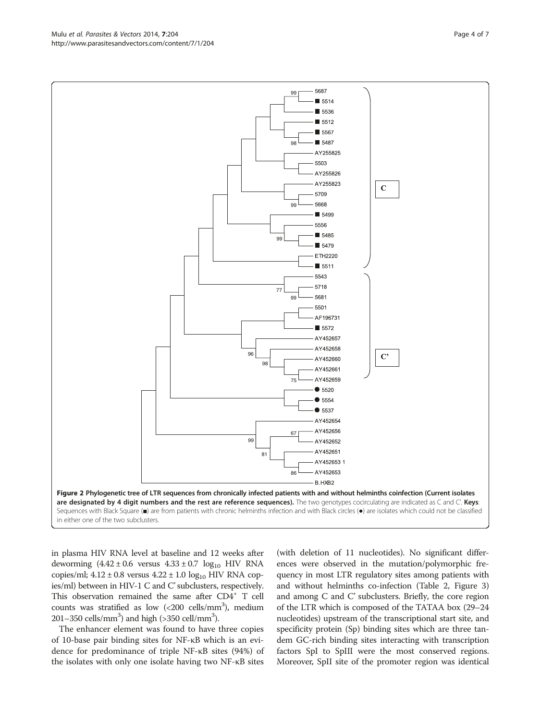in plasma HIV RNA level at baseline and 12 weeks after deworming  $(4.42 \pm 0.6 \text{ versus } 4.33 \pm 0.7 \text{ log}_{10} \text{ HIV RNA})$ copies/ml;  $4.12 \pm 0.8$  versus  $4.22 \pm 1.0$  log<sub>10</sub> HIV RNA copies/ml) between in HIV-1 C and C'subclusters, respectively. This observation remained the same after CD4<sup>+</sup> T cell counts was stratified as low (<200 cells/mm<sup>3</sup>), medium  $201-350$  cells/mm<sup>3</sup>) and high (>350 cell/mm<sup>3</sup>).

The enhancer element was found to have three copies of 10-base pair binding sites for NF-κB which is an evidence for predominance of triple NF-κB sites (94%) of the isolates with only one isolate having two NF-κB sites

(with deletion of 11 nucleotides). No significant differences were observed in the mutation/polymorphic frequency in most LTR regulatory sites among patients with and without helminths co-infection (Table [2](#page-4-0), Figure [3](#page-4-0)) and among C and C' subclusters. Briefly, the core region of the LTR which is composed of the TATAA box (29–24 nucleotides) upstream of the transcriptional start site, and specificity protein (Sp) binding sites which are three tandem GC-rich binding sites interacting with transcription factors SpI to SpIII were the most conserved regions. Moreover, SpII site of the promoter region was identical

<span id="page-3-0"></span>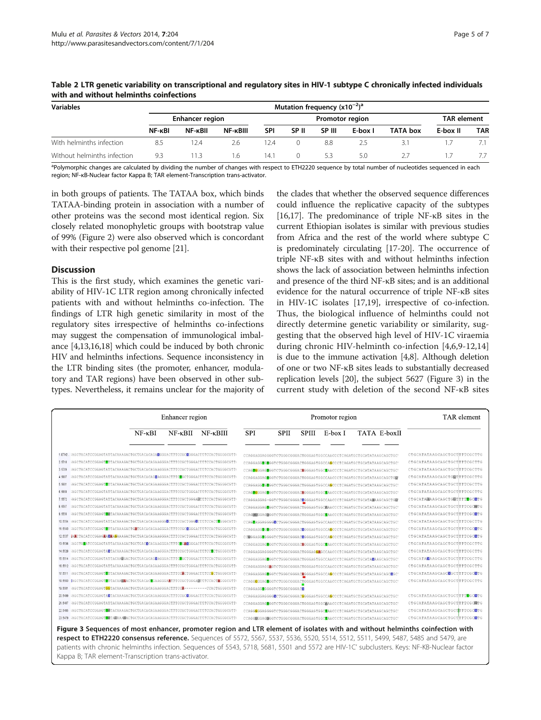| <b>Variables</b>            | Mutation frequency $(x10^{-2})^a$ |         |                        |            |                  |        |                    |          |          |            |
|-----------------------------|-----------------------------------|---------|------------------------|------------|------------------|--------|--------------------|----------|----------|------------|
|                             | Enhancer region                   |         | <b>Promotor region</b> |            |                  |        | <b>TAR element</b> |          |          |            |
|                             | NF- <sub>KBI</sub>                | NF-kBII | NF-KBIII               | <b>SPI</b> | SP II            | SP III | E-box I            | TATA box | E-box II | <b>TAR</b> |
| With helminths infection    | 8.5                               | 12.4    | 2.6                    | 12.4       |                  | 8.8    |                    | 3.1      |          |            |
| Without helminths infection | 9.3                               | l 13    | 1.6                    | 14.1       | $\left( \right)$ | 53     | 5.0                |          |          |            |

<span id="page-4-0"></span>Table 2 LTR genetic variability on transcriptional and regulatory sites in HIV-1 subtype C chronically infected individuals with and without helminths coinfections

<sup>a</sup>Polymorphic changes are calculated by dividing the number of changes with respect to ETH2220 sequence by total number of nucleotides sequenced in each region; NF-κB-Nuclear factor Kappa B; TAR element-Transcription trans-activator.

in both groups of patients. The TATAA box, which binds TATAA-binding protein in association with a number of other proteins was the second most identical region. Six closely related monophyletic groups with bootstrap value of 99% (Figure [2](#page-3-0)) were also observed which is concordant with their respective pol genome [\[21\]](#page-6-0).

# Discussion

This is the first study, which examines the genetic variability of HIV-1C LTR region among chronically infected patients with and without helminths co-infection. The findings of LTR high genetic similarity in most of the regulatory sites irrespective of helminths co-infections may suggest the compensation of immunological imbalance [\[4,13,16,18\]](#page-5-0) which could be induced by both chronic HIV and helminths infections. Sequence inconsistency in the LTR binding sites (the promoter, enhancer, modulatory and TAR regions) have been observed in other subtypes. Nevertheless, it remains unclear for the majority of the clades that whether the observed sequence differences could influence the replicative capacity of the subtypes [[16](#page-5-0),[17](#page-5-0)]. The predominance of triple NF-κB sites in the current Ethiopian isolates is similar with previous studies from Africa and the rest of the world where subtype C is predominately circulating [\[17-20\]](#page-5-0). The occurrence of triple NF-κB sites with and without helminths infection shows the lack of association between helminths infection and presence of the third NF-κB sites; and is an additional evidence for the natural occurrence of triple NF-κB sites in HIV-1C isolates [\[17,19\]](#page-5-0), irrespective of co-infection. Thus, the biological influence of helminths could not directly determine genetic variability or similarity, suggesting that the observed high level of HIV-1C viraemia during chronic HIV-helminth co-infection [[4,6](#page-5-0),[9-12,14](#page-5-0)] is due to the immune activation [\[4,8](#page-5-0)]. Although deletion of one or two NF-κB sites leads to substantially decreased replication levels [[20](#page-5-0)], the subject 5627 (Figure 3) in the current study with deletion of the second NF-κB sites

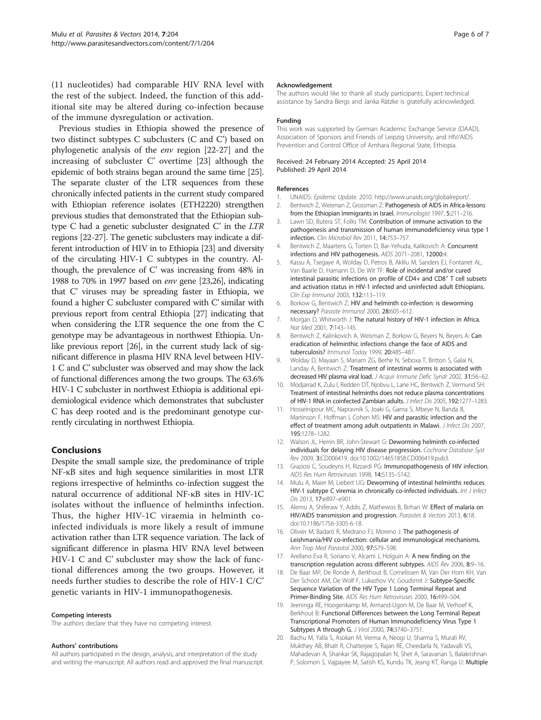<span id="page-5-0"></span>(11 nucleotides) had comparable HIV RNA level with the rest of the subject. Indeed, the function of this additional site may be altered during co-infection because of the immune dysregulation or activation.

Previous studies in Ethiopia showed the presence of two distinct subtypes C subclusters (C and C') based on phylogenetic analysis of the env region [\[22-27](#page-6-0)] and the increasing of subcluster C' overtime [\[23](#page-6-0)] although the epidemic of both strains began around the same time [[25](#page-6-0)]. The separate cluster of the LTR sequences from these chronically infected patients in the current study compared with Ethiopian reference isolates (ETH2220) strengthen previous studies that demonstrated that the Ethiopian subtype C had a genetic subcluster designated C' in the LTR regions [\[22-27\]](#page-6-0). The genetic subclusters may indicate a different introduction of HIV in to Ethiopia [[23](#page-6-0)] and diversity of the circulating HIV-1 C subtypes in the country. Although, the prevalence of C' was increasing from 48% in 1988 to 70% in 1997 based on env gene [\[23,26](#page-6-0)], indicating that C' viruses may be spreading faster in Ethiopia, we found a higher C subcluster compared with C' similar with previous report from central Ethiopia [[27](#page-6-0)] indicating that when considering the LTR sequence the one from the C genotype may be advantageous in northwest Ethiopia. Unlike previous report [\[26\]](#page-6-0), in the current study lack of significant difference in plasma HIV RNA level between HIV-1 C and C' subcluster was observed and may show the lack of functional differences among the two groups. The 63.6% HIV-1 C subcluster in northwest Ethiopia is additional epidemiological evidence which demonstrates that subcluster C has deep rooted and is the predominant genotype currently circulating in northwest Ethiopia.

## Conclusions

Despite the small sample size, the predominance of triple NF-κB sites and high sequence similarities in most LTR regions irrespective of helminths co-infection suggest the natural occurrence of additional NF-κB sites in HIV-1C isolates without the influence of helminths infection. Thus, the higher HIV-1C viraemia in helminth coinfected individuals is more likely a result of immune activation rather than LTR sequence variation. The lack of significant difference in plasma HIV RNA level between HIV-1 C and C' subcluster may show the lack of functional differences among the two groups. However, it needs further studies to describe the role of HIV-1 C/C' genetic variants in HIV-1 immunopathogenesis.

#### Competing interests

The authors declare that they have no competing interest.

#### Authors' contributions

All authors participated in the design, analysis, and interpretation of the study and writing the manuscript. All authors read and approved the final manuscript.

#### Acknowledgement

The authors would like to thank all study participants. Expert technical assistance by Sandra Bergs and Janka Rätzke is gratefully acknowledged.

#### Funding

This work was supported by German Academic Exchange Service (DAAD), Association of Sponsors and Friends of Leipzig University, and HIV/AIDS Prevention and Control Office of Amhara Regional State, Ethiopia.

#### Received: 24 February 2014 Accepted: 25 April 2014 Published: 29 April 2014

#### References

- 1. UNAIDS: Epidemic Update. 2010. [http://www.unaids.org/globalreport/.](http://www.unaids.org/globalreport/)
- 2. Bentwich Z, Weisman Z, Grossman Z: Pathogenesis of AIDS in Africa-lessons from the Ethiopian immigrants in Israel. Immunologist 1997, 5:211-216.
- 3. Lawn SD, Butera ST, Folks TM: Contribution of immune activation to the pathogenesis and transmission of human immunodeficiency virus type 1 infection. Clin Microbiol Rev 2011, 14:753–757.
- 4. Bentwich Z, Maartens G, Torten D, Bar-Yehuda, Kalikovich A: Concurrent infections and HIV pathogenesis. AIDS 2071–2081, 12000:4.
- 5. Kassu A, Tsegaye A, Wolday D, Petros B, Aklilu M, Sanders EJ, Fontanet AL, Van Baarle D, Hamann D, De Wit TF: Role of incidental and/or cured intestinal parasitic infections on profile of CD4+ and CD8<sup>+</sup> T cell subsets and activation status in HIV-1 infected and uninfected adult Ethiopians. Clin Exp Immunol 2003, 132:113–119.
- 6. Borkow G, Bentwich Z: HIV and helminth co-infection: is deworming necessary? Parasite Immunol 2000, 28:605–612.
- 7. Morgan D, Whitworth J: The natural history of HIV-1 infection in Africa. Nat Med 2001, 7:143–145.
- 8. Bentwich Z, Kalinkovich A, Weisman Z, Borkow G, Beyers N, Beyers A: Can eradication of helminthic infections change the face of AIDS and tuberculosis? Immunol Today 1999, 20:485–487.
- 9. Wolday D, Mayaan S, Mariam ZG, Berhe N, Seboxa T, Britton S, Galai N, Landay A, Bentwich Z: Treatment of intestinal worms is associated with decreased HIV plasma viral load. J Acquir Immune Defic Syndr 2002, 31:56-62.
- 10. Modjarrad K, Zulu I, Redden DT, Njobvu L, Lane HC, Bentwich Z, Vermund SH: Treatment of intestinal helminths does not reduce plasma concentrations of HIV-1 RNA in coinfected Zambian adults. J Infect Dis 2005, 192:1277–1283.
- 11. Hosseinipour MC, Napravnik S, Joaki G, Gama S, Mbeye N, Banda B, Martinson F, Hoffman I, Cohen MS: HIV and parasitic infection and the effect of treatment among adult outpatients in Malawi. J Infect Dis 2007, 195:1278–1282.
- 12. Walson JL, Herrin BR, John-Stewart G: Deworming helminth co-infected individuals for delaying HIV disease progression. Cochrane Database Syst Rev 2009, 3:CD006419. doi:10.1002/14651858.CD006419.pub3.
- 13. Graziosi C, Soudeyns H, Rizzardi PG: Immunopathogenesis of HIV infection. AIDS Res Hum Retroviruses 1998, 14:S135–S142.
- 14. Mulu A, Maier M, Liebert UG: Deworming of intestinal helminths reduces HIV-1 subtype C viremia in chronically co-infected individuals. Int J Infect Dis 2013, 17:e897–e901.
- 15. Alemu A, Shiferaw Y, Addis Z, Mathewos B, Birhan W: Effect of malaria on HIV/AIDS transmission and progression. Parasites & Vectors 2013, 6:18. doi:10.1186/1756-3305-6-18.
- 16. Olivier M, Badaró R, Medrano FJ, Moreno J: The pathogenesis of Leishmania/HIV co-infection: cellular and immunological mechanisms. Ann Trop Med Parasitol 2000, 97:S79–S98.
- 17. Arellano Eva R, Soriano V, Alcami J, Holguin A: A new finding on the transcription regulation across different subtypes. AIDS Rev 2006, 8:9–16.
- 18. De Baar MP, De Ronde A, Berkhout B, Cornelissen M, Van Der Horn KH, Van Der Schoot AM, De Wolf F, Lukashov VV, Goudsmit J: Subtype-Specific Sequence Variation of the HIV Type 1 Long Terminal Repeat and Primer-Binding Site. AIDS Res Hum Retroviruses 2000, 16:499–504.
- 19. Jeeninga RE, Hoogenkamp M, Armand-Ugon M, De Baar M, Verhoef K, Berkhout B: Functional Differences between the Long Terminal Repeat Transcriptional Promoters of Human Immunodeficiency Virus Type 1 Subtypes A through G. J Virol 2000, 74:3740–3751.
- 20. Bachu M, Yalla S, Asokan M, Verma A, Neogi U, Sharma S, Murali RV, Mukthey AB, Bhatt R, Chatterjee S, Rajan RE, Cheedarla N, Yadavalli VS, Mahadevan A, Shankar SK, Rajagopalan N, Shet A, Saravanan S, Balakrishnan P, Solomon S, Vajpayee M, Satish KS, Kundu TK, Jeang KT, Ranga U: Multiple